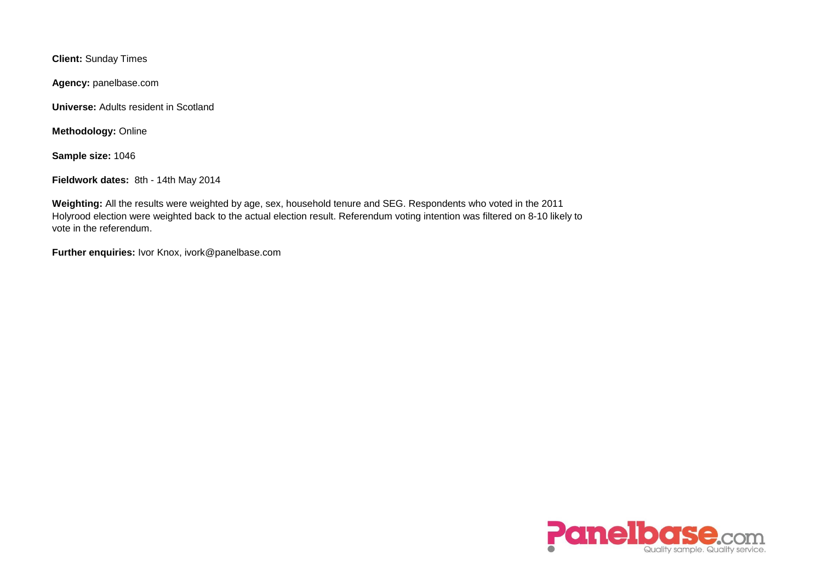**Client:** Sunday Times

**Agency:** panelbase.com

**Universe:** Adults resident in Scotland

**Methodology:** Online

**Sample size:** 1046

**Fieldwork dates:** 8th - 14th May 2014

**Weighting:** All the results were weighted by age, sex, household tenure and SEG. Respondents who voted in the 2011 Holyrood election were weighted back to the actual election result. Referendum voting intention was filtered on 8-10 likely to vote in the referendum.

**Further enquiries:** Ivor Knox, ivork@panelbase.com

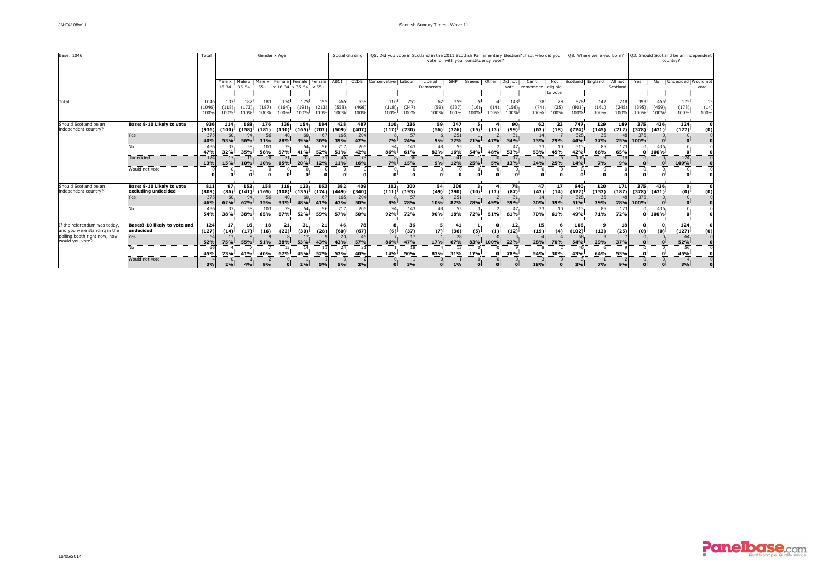

| Base: 1046                                                                                                     |                                                                      | Гоtal                                    | Gender x Age                                |                                                     |                                                                    |                                         |                                                                        |                                  |                                          | Social Grading                                  | Q5. Did you vote in Scotland in the 2011 Scottish Parliamentary Election? If so, who did you<br>vote for with your constituency vote? |                                         |                                |                                         |                                    |                             |                                       |                                                                 |                            |                                          | Q8. Where were you born?                                   |                                   | Q3. Should Scotland be an independent<br>country? |                             |                                         |                    |  |
|----------------------------------------------------------------------------------------------------------------|----------------------------------------------------------------------|------------------------------------------|---------------------------------------------|-----------------------------------------------------|--------------------------------------------------------------------|-----------------------------------------|------------------------------------------------------------------------|----------------------------------|------------------------------------------|-------------------------------------------------|---------------------------------------------------------------------------------------------------------------------------------------|-----------------------------------------|--------------------------------|-----------------------------------------|------------------------------------|-----------------------------|---------------------------------------|-----------------------------------------------------------------|----------------------------|------------------------------------------|------------------------------------------------------------|-----------------------------------|---------------------------------------------------|-----------------------------|-----------------------------------------|--------------------|--|
|                                                                                                                |                                                                      |                                          | Male x<br>$16 - 34$                         | Male x<br>35-54                                     | Male x<br>$55+$                                                    |                                         | Female Female Female<br>$x 16-34 x 35-54 x 55+$                        |                                  | ABC1                                     | C <sub>2</sub> DE                               | Conservative : Labour                                                                                                                 |                                         | Liberal<br>Democrats           | SNP                                     | Greens Other                       |                             | Did not<br>vote                       | Can't<br>remember                                               | Not<br>eligible<br>to vote | Scotland: England                        |                                                            | All not<br>Scotland               | Yes                                               | No                          | Undecided                               | Would not<br>vote  |  |
| Total                                                                                                          |                                                                      | 1046<br>(1046)<br>100%                   | 137<br>(118)<br>100%                        | 182<br>(173)<br>100%                                | 183 <sup>°</sup><br>(187)<br>100%                                  | 174<br>$(164)$ :<br>100%                | 175.<br>$(191)$ :<br>100%                                              | 195<br>(213)<br>100%             | 466<br>(558)<br>100%                     | 558<br>(466)<br>100%                            | 110<br>(118)<br>100%                                                                                                                  | 251<br>(247)<br>100%                    | 62:<br>(59)<br>100%            | 359<br>(337)<br>100%                    | -51<br>$(16)$ :<br>100%            | (14)<br>100%                | 148<br>(156)<br>100%                  | 78<br>(74)<br>100%                                              | 29<br>(25)<br>100%         | 828<br>(801)<br>100%                     | 142:<br>(161)<br>100%                                      | 218<br>(245)<br>100%              | 393<br>(395)<br>100%                              | 465<br>(459)<br>100%        | 175.<br>(178)<br>100%                   | 13<br>(14)<br>100% |  |
| Should Scotland be an<br>independent country?                                                                  | Base: 8-10 Likely to vote<br>Yes                                     | 936<br>(936)<br>375                      | 114<br>(100)<br>60                          | 168<br>(158)<br>94                                  | 176<br>(181)<br>56                                                 | 139 <sup>°</sup><br>(130)               | 154<br>(165)                                                           | 184<br>(202)                     | 428<br>(509)<br>165                      | 487<br>(407)<br>204                             | 110<br>(117)                                                                                                                          | 236<br>(230)<br>57                      | 59<br>(56)                     | 347<br>(326)<br>251                     | 5 <sup>1</sup><br>(15)             | (13)                        | 90<br>(99)<br>31<br>34%               | 62.<br>(62)<br>$14 -$                                           | 23<br>(18)<br>29%          | 747<br>(724)<br>328<br>44%               | 129<br>(145)<br>35 <sup>2</sup>                            | 189<br>(212)                      | 375<br>(378)<br>375<br>100%                       | 436<br>(431)                | 124<br>(127)                            | $\Omega$<br>(0)    |  |
|                                                                                                                | No.<br>Undecided                                                     | 40%<br>436<br>47%<br>124                 | 53%<br>32%<br>17                            | 56%<br>58<br>35%<br>16 <sup>2</sup>                 | 31%<br>58%<br>18                                                   | 28%<br>57%<br>21                        | 39%<br>41%<br>31                                                       | 36%<br>52%                       | 39%<br>217<br>51%<br>46                  | 42%<br>205<br>42%<br>78                         | 7%<br>94.<br>86%                                                                                                                      | 24%<br>143<br>61%<br>36                 | 9%<br>48<br>82%                | 72%<br>16%                              | 21%<br><b>54%</b>                  | 47%<br>48%                  | 47<br>53%<br>12 <sub>1</sub>          | 23%<br>33 <sup>1</sup><br>53%<br>15 <sub>1</sub>                | 45%                        | 313<br>42%<br>106                        | 27%<br>85 <sub>1</sub><br>66%                              | 25%<br>123<br>65%<br>$1\xi$       | n.                                                | $436 -$<br>100%             | 124                                     |                    |  |
|                                                                                                                | Would not vote                                                       | 13%                                      | 15%                                         | 10%                                                 | 10%                                                                | 15%                                     | 20%<br>Ω                                                               | 12%                              | 11%                                      | 16%                                             | 7%<br>Ω                                                                                                                               | 15%                                     | 9%                             | 12%                                     | 25%<br>$\Omega$                    | 5%                          | 13%                                   | 24%<br>$\Omega$                                                 | 25%                        | 14%                                      | 7%<br>$\Omega$                                             | 9%                                |                                                   | $\Omega$                    | 100%                                    |                    |  |
| Should Scotland be an<br>independent country?                                                                  | Base: 8-10 Likely to vote<br>excluding undecided<br><b>Yes</b><br>No | 811<br>(809)<br>375<br>46%<br>436<br>54% | 97<br>(86)<br>-60<br>62%<br>37<br>38%       | 152<br>(141)<br>94<br>62%<br>58 <sup>3</sup><br>38% | <b>158</b><br>(165)<br>56<br><b>35%</b><br>103 <sup>3</sup><br>65% | 119<br>(108)<br>33%<br>79<br><b>67%</b> | 123<br>(135)<br>48%<br>$64^{\circ}$<br>52%                             | 163<br>(174)<br>41%<br>96<br>59% | 382<br>(449)<br>165<br>43%<br>217<br>57% | 409<br>(340)<br>204<br><b>50%</b><br>205<br>50% | 102<br>(111)<br>8%<br>-94<br>92%                                                                                                      | 200<br>(193)<br>57<br>28%<br>143<br>72% | 54<br>(49)<br>10%<br>48<br>90% | 306<br>(290)<br>251<br>82%<br>55<br>18% | $3 -$<br>(10)<br>28%<br><b>72%</b> | (12)<br>49%<br>51%          | 78<br>(87)<br>31<br>39%<br>47<br>61%  | 47<br>(43)<br>14 <sup>1</sup><br>30%<br>33 <sup>2</sup><br>70%: | 17<br>(14)<br>39%<br>61%   | 640<br>(622)<br>328<br>51%<br>313<br>49% | <b>120</b><br>(132)<br>35 <sup>2</sup><br>29%<br>85<br>71% | 171<br>(187)<br>28%<br>123<br>72% | 375<br>(378)<br>375<br>100%<br>0.                 | 436<br>(431)<br>436<br>100% | $\mathbf{0}$<br>(0)<br>0                | 0<br>(0)           |  |
| If the referendum was today<br>and you were standing in the<br>polling booth right now, how<br>would you vote? | Base: 8-10 likely to vote and<br>undecided<br>Yes<br>No              | 124<br>(127)<br>64<br>52%<br>-56<br>45%  | 17<br>(14)<br>13 <sup>2</sup><br>75%<br>23% | 16 <sup>1</sup><br>(17)<br>55%<br>41%               | 18<br>(16)<br>51%<br>40%                                           | 21<br>(22)<br>38%<br>13:<br>62%         | 31 <sup>1</sup><br>(30)<br>17 <sup>1</sup><br><b>53%</b><br>14:<br>45% | 21<br>(28)<br>43%<br>52%         | 46<br>(60)<br>20<br>43%<br>24<br>52%     | 78<br>(67)<br>45<br>57%<br>-31<br>40%           | 8<br>(6)<br>86%<br>14%                                                                                                                | 36<br>(37)<br>17<br>47%<br>18<br>50%    | (7)<br>17%<br>83%              | 41<br>(36)<br>28<br>67%<br>13:<br>31%   | $\mathbf{1}$<br>(5)<br>83%<br>17%  | (1)<br>100%<br><sup>o</sup> | 12 <sup>2</sup><br>(12)<br>22%<br>78% | 15 <sup>1</sup><br>(19)<br>28%<br><b>54%</b>                    | (4)<br>70%<br>30%          | 106<br>(102)<br>58<br>54%<br>46<br>43%   | q<br>(13)<br>29%<br>64%                                    | 18<br>(25)<br>37%<br>53%          | n<br>(0)                                          | (0)                         | 124<br>(127)<br>64<br>52%<br>56:<br>45% | (0)                |  |
|                                                                                                                | Would not vote                                                       | 3%                                       | 2%                                          | 4%                                                  | 9%                                                                 |                                         | 2%                                                                     | 5%                               | 5%                                       | 2%                                              | $\Omega$                                                                                                                              | 3%                                      |                                | 1%                                      | $\Omega$                           |                             |                                       | 18%                                                             |                            | 2%                                       | 7%                                                         | 9%                                |                                                   |                             | 3%                                      |                    |  |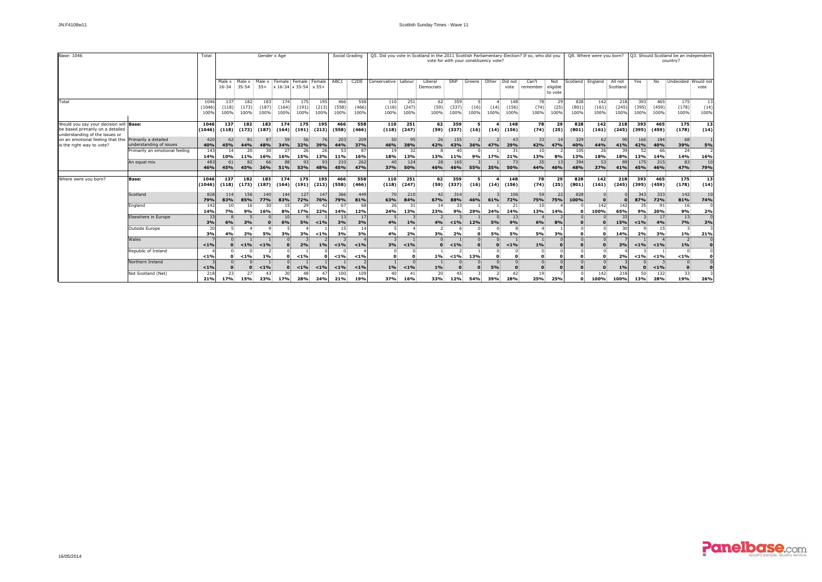| Base: 1046                                                                                                   |                                                                                   | Total                  |                        |                                           |                         | Gender x Age                                                    |                       |                      |                       | Social Grading             | Q5. Did you vote in Scotland in the 2011 Scottish Parliamentary Election? If so, who did you<br>vote for with your constituency vote? |                      |                        |                      |                        |              |                              |                               |                            |                      | Q8. Where were you born?                       |                      | Q3. Should Scotland be an independent<br>country? |                              |                             |                    |  |
|--------------------------------------------------------------------------------------------------------------|-----------------------------------------------------------------------------------|------------------------|------------------------|-------------------------------------------|-------------------------|-----------------------------------------------------------------|-----------------------|----------------------|-----------------------|----------------------------|---------------------------------------------------------------------------------------------------------------------------------------|----------------------|------------------------|----------------------|------------------------|--------------|------------------------------|-------------------------------|----------------------------|----------------------|------------------------------------------------|----------------------|---------------------------------------------------|------------------------------|-----------------------------|--------------------|--|
|                                                                                                              |                                                                                   |                        | Male x<br>16-34        | Male x<br>$35 - 54$                       | Male x<br>$55+$         | $\frac{1}{2}$ x 16-34 $\frac{1}{2}$ x 35-54 $\frac{1}{2}$ x 55+ | Female Female Female  |                      | ABC1                  | C <sub>2</sub> DE          | Conservative : Labour                                                                                                                 |                      | Liberal<br>Democrats   | SNP                  | Greens                 | Other        | Did not<br>vote              | Can't<br>remember             | Not<br>eligible<br>to vote | Scotland             | England                                        | All not<br>Scotland  | Yes                                               | No                           | Undecided                   | Would not<br>vote  |  |
| Total                                                                                                        |                                                                                   | 1046<br>(1046)<br>100% | 137<br>(118)<br>100%   | 182<br>(173)<br>100%                      | 183<br>(187)<br>100%    | 174<br>(164)<br>100%                                            | 175:<br>(191)<br>100% | 195<br>(213)<br>100% | 466:<br>(558)<br>100% | 558<br>(466)<br>100%       | 110<br>(118)<br>100%                                                                                                                  | 251<br>(247)<br>100% | 62<br>(59)<br>100%     | 359<br>(337)<br>100% | (16)<br>100%           | (14)<br>100% | 148<br>(156)<br>100%         | 78<br>(74)<br>100%            | 29<br>(25)<br>100%         | 828<br>(801)<br>100% | 142:<br>(161)<br>100%                          | 218<br>(245)<br>100% | 393<br>(395)<br>100%                              | 465<br>(459)<br>100%         | 175<br>(178)<br>100%        | 13<br>(14)<br>100% |  |
| Would you say your decision will Base:<br>be based primarily on a detailed<br>understanding of the issues or |                                                                                   | 1046<br>(1046)         | 137<br>(118)           | 182<br>(173)                              | 183<br>(187)            | 174<br>(164)                                                    | 175<br>(191)          | 195<br>(213)         | 466<br>(558)          | 558<br>(466)               | 110<br>(118)                                                                                                                          | 251<br>(247)         | 62<br>(59)             | 359<br>(337)         | 5<br>(16)              | (14)         | 148<br>(156)                 | 78<br>(74)                    | 29<br>(25)                 | 828<br>(801)         | 142<br>(161)                                   | 218<br>(245)         | 393<br>(395)                                      | 465<br>(459)                 | 175<br>(178)                | 13<br>(14)         |  |
| on an emotional feeling that this<br>is the right way to vote?                                               | Primarily a detailed<br>understanding of issues<br>Primarily an emotional feeling | 420<br>40%<br>143      | 62<br>45%<br>14        | 81<br>44%<br>20:                          | 87<br>48%<br>30         | 59<br>34%<br><b>27:</b>                                         | 56<br>32%<br>26:      | <b>76</b><br>39%     | 203<br>44%<br>53      | 209<br>37%<br>8            | 50<br>46%<br>19 <sup>1</sup>                                                                                                          | 95<br>38%<br>32      | 26 <sup>2</sup><br>42% | 155<br>43%<br>-40    | 36%                    | 47%          | 43<br>29%<br>31              | 33<br>42%<br>10:              | 14<br>47%                  | 329<br>40%<br>105    | 62<br>44%<br>26.                               | 90<br>41%<br>-39     | 166<br>42%<br>52.                                 | 184<br>40%<br>66:            | 68<br>39%<br>24:            | 5%                 |  |
|                                                                                                              | An equal mix                                                                      | 14%<br>483<br>46%      | 10%<br>61<br>45%       | 11%<br>82<br>45%                          | <b>16%</b><br>66<br>36% | 16%<br>88<br>51%                                                | 15%<br>93<br>53%      | 13%<br>93<br>48%     | 11%<br>210<br>45%     | 16%<br>262<br>47%          | 18%<br>40<br>37%                                                                                                                      | 13%<br>124<br>50%    | 13%<br>28<br>46%       | 11%<br>165<br>46%    | 9%<br><b>55%</b>       | 17%<br>35%   | 21%<br>73.<br>50%            | 13%<br>35 <sup>2</sup><br>44% | 8%<br>13<br>46%            | 13%<br>394<br>48%    | 18%<br>53<br>37%                               | 18%<br>89<br>41%     | 13%<br>175<br>45%                                 | 14%<br>215<br>46%            | 14%<br>83<br>47%            | 16%<br>10<br>79%   |  |
| Where were you born?                                                                                         | Base:                                                                             | 1046<br>(1046)         | 137<br>(118)           | 182<br>(173)                              | 183<br>(187)            | 174<br>(164)                                                    | 175<br>(191)          | 195<br>(213)         | 466<br>(558)          | 558<br>(466)               | 110<br>(118)                                                                                                                          | 251<br>(247)         | 62<br>(59)             | 359<br>(337)         | 5.<br>(16)             | 4<br>(14)    | 148<br>(156)                 | 78<br>(74)                    | 29<br>(25)                 | 828<br>(801)         | 142<br>(161)                                   | 218<br>(245)         | 393<br>(395)                                      | 465<br>(459)                 | 175<br>(178)                | 13<br>(14)         |  |
|                                                                                                              | Scotland                                                                          | 828<br>79%             | 114<br>83%             | 156<br>85%                                | 140<br>77%              | 144<br>83%                                                      | 127<br>72%            | 147<br>76%           | 366<br>79%            | 449<br>81%                 | 70<br>63%                                                                                                                             | 210<br>84%           | 42 <sup>3</sup><br>67% | 314<br>88%           | 46%                    | 61%          | 106<br>72%                   | 59<br>75%                     | 22<br><b>75%</b>           | 828<br>100%          | $\Omega$                                       |                      | 343<br>87%                                        | 333<br>72%                   | 142<br>81%                  | 10<br>74%          |  |
|                                                                                                              | England<br>Elsewhere in Europe                                                    | 142<br>14%<br>33       | 10<br>7%               | 16 <sup>°</sup><br>9%                     | 30<br>16%               | 15 <sub>1</sub><br>8%<br>10 <sub>1</sub>                        | 29<br>17%             | 22%                  | 67<br>14%<br>13       | -68<br>12%<br>$\mathbf{1}$ | 26 <sup>2</sup><br>24%                                                                                                                | 31<br>13%            | 14<br>23%              | 33<br>9%             | 29%                    | 24%          | 21<br>14%<br>13 <sub>1</sub> | 10<br>13%                     | 14%                        | Ω                    | 142<br>100%                                    | 142<br>65%<br>33     | 35<br>9%                                          | 91<br>20%<br>17 <sub>1</sub> | 16 <sup>2</sup><br>9%<br>13 | 2%                 |  |
|                                                                                                              | Outside Europe                                                                    | 3%<br>30               | 6%                     | 3%                                        |                         | 6%                                                              | 5%                    | < 1%                 | 3%<br>$15 -$          | 3%                         | 4%<br>-5.                                                                                                                             | 1%                   | 4%                     | < 1%                 | 12%                    | 5%           | 9%                           | 6%                            | 8%                         |                      | $\Omega$<br>∩.                                 | 15%                  | $< 1\%$                                           | 4%<br>15.                    | 7%                          | 3%                 |  |
|                                                                                                              | Wales                                                                             | 3%<br>$< 1\%$          |                        | 2%<br>$1\%$                               | 5%<br>$< 1\%$           | 3%                                                              | 3%<br>2%              | $< 1\%$<br>1%        | 3%<br>$< 1\%$         | 3%<br>< 1%                 | 4%<br>3%                                                                                                                              | 2%<br>$< 1\%$        | 3%                     | 2%<br>$< 1\%$        | <sup>0</sup>           | 5%           | 5%<br>< 1%                   | 5%<br>$1\%$                   | 3%                         | O                    | $\mathbf{0}$<br>$\overline{0}$<br>$\mathbf{0}$ | 14%<br>3%            | 2%<br>$< 1\%$                                     | 3%<br>$< 1\%$                | $1\%$<br><sup>2</sup><br>1% | 21%                |  |
|                                                                                                              | Republic of Ireland<br>Northern Ireland                                           | $< 1\%$                | $\Omega$               | $< 1\%$                                   | 1%                      | $\mathbf{0}$                                                    | $< 1\%$               |                      | $< 1\%$               | < 1%                       | $\Omega$<br>$\Omega$                                                                                                                  |                      | $1\%$                  | $< 1\%$              | 13%                    | <sup>0</sup> |                              | $\Omega$<br>Ω                 |                            |                      | $\overline{0}$<br>$\mathbf{0}$                 | 2%                   | $< 1\%$                                           | $<$ 1%                       | $< 1\%$                     |                    |  |
|                                                                                                              | Not Scotland (Net)                                                                | < 1%<br>218<br>21%     | 23 <sup>2</sup><br>17% | $\Omega$<br>27 <sup>2</sup><br><b>15%</b> | $< 1\%$<br>43<br>23%    | 30<br>17%                                                       | $< 1\%$<br>48.<br>28% | $< 1\%$<br>24%       | $< 1\%$<br>100<br>21% | < 1%<br>109<br><b>19%</b>  | 1%<br>$40^{\circ}$<br>37%                                                                                                             | < 1%<br>41<br>16%    | $1\%$<br>20<br>33%     | 45<br>12%            | $\Omega$<br><b>54%</b> | 5%<br>39%    | $\Omega$<br>42<br>28%        | O<br>19 <sup>2</sup><br>25%   | 25%                        |                      | n<br>142<br>100%                               | 1%<br>218<br>100%    | 50<br>13%                                         | $< 1\%$<br>132<br>28%        | $\Omega$<br>33<br>19%       | 26%                |  |